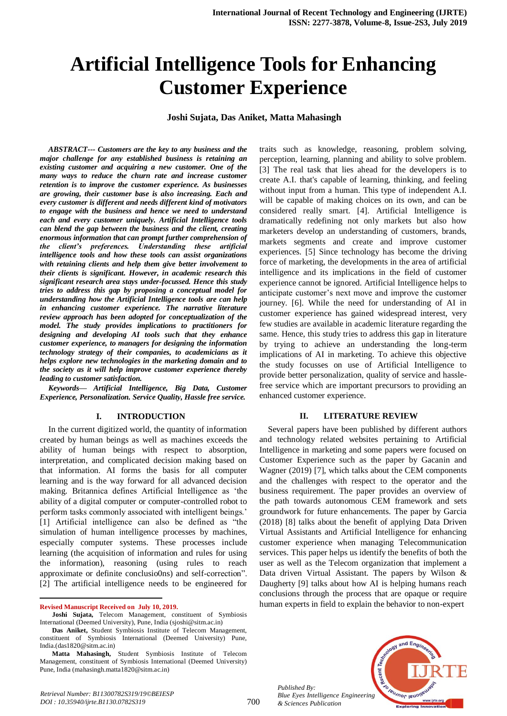# **Artificial Intelligence Tools for Enhancing Customer Experience**

**Joshi Sujata, Das Aniket, Matta Mahasingh**

*ABSTRACT--- Customers are the key to any business and the major challenge for any established business is retaining an existing customer and acquiring a new customer. One of the many ways to reduce the churn rate and increase customer retention is to improve the customer experience. As businesses are growing, their customer base is also increasing. Each and every customer is different and needs different kind of motivators to engage with the business and hence we need to understand each and every customer uniquely. Artificial Intelligence tools can blend the gap between the business and the client, creating enormous information that can prompt further comprehension of the client's preferences. Understanding these artificial intelligence tools and how these tools can assist organizations with retaining clients and help them give better involvement to their clients is significant. However, in academic research this significant research area stays under-focussed. Hence this study tries to address this gap by proposing a conceptual model for understanding how the Artificial Intelligence tools are can help in enhancing customer experience. The narrative literature review approach has been adopted for conceptualization of the model. The study provides implications to practitioners for designing and developing AI tools such that they enhance customer experience, to managers for designing the information technology strategy of their companies, to academicians as it helps explore new technologies in the marketing domain and to the society as it will help improve customer experience thereby leading to customer satisfaction.*

*Keywords— Artificial Intelligence, Big Data, Customer Experience, Personalization. Service Quality, Hassle free service.*

#### **I. INTRODUCTION**

In the current digitized world, the quantity of information created by human beings as well as machines exceeds the ability of human beings with respect to absorption, interpretation, and complicated decision making based on that information. AI forms the basis for all computer learning and is the way forward for all advanced decision making. Britannica defines Artificial Intelligence as 'the ability of a digital computer or computer-controlled robot to perform tasks commonly associated with intelligent beings.' [1] Artificial intelligence can also be defined as "the simulation of human intelligence processes by machines, especially computer systems. These processes include learning (the acquisition of information and rules for using the information), reasoning (using rules to reach approximate or definite conclusio0ns) and self-correction". [2] The artificial intelligence needs to be engineered for

1

traits such as knowledge, reasoning, problem solving, perception, learning, planning and ability to solve problem. [3] The real task that lies ahead for the developers is to create A.I. that's capable of learning, thinking, and feeling without input from a human. This type of independent A.I. will be capable of making choices on its own, and can be considered really smart. [4]. Artificial Intelligence is dramatically redefining not only markets but also how marketers develop an understanding of customers, brands, markets segments and create and improve customer experiences. [5] Since technology has become the driving force of marketing, the developments in the area of artificial intelligence and its implications in the field of customer experience cannot be ignored. Artificial Intelligence helps to anticipate customer's next move and improve the customer journey. [6]. While the need for understanding of AI in customer experience has gained widespread interest, very few studies are available in academic literature regarding the same. Hence, this study tries to address this gap in literature by trying to achieve an understanding the long-term implications of AI in marketing. To achieve this objective the study focusses on use of Artificial Intelligence to provide better personalization, quality of service and hasslefree service which are important precursors to providing an enhanced customer experience.

#### **II. LITERATURE REVIEW**

Several papers have been published by different authors and technology related websites pertaining to Artificial Intelligence in marketing and some papers were focused on Customer Experience such as the paper by Gacanin and Wagner (2019) [7], which talks about the CEM components and the challenges with respect to the operator and the business requirement. The paper provides an overview of the path towards autonomous CEM framework and sets groundwork for future enhancements. The paper by Garcia (2018) [8] talks about the benefit of applying Data Driven Virtual Assistants and Artificial Intelligence for enhancing customer experience when managing Telecommunication services. This paper helps us identify the benefits of both the user as well as the Telecom organization that implement a Data driven Virtual Assistant. The papers by Wilson & Daugherty [9] talks about how AI is helping humans reach conclusions through the process that are opaque or require human experts in field to explain the behavior to non-expert



*Published By: Blue Eyes Intelligence Engineering & Sciences Publication* 

**Revised Manuscript Received on July 10, 2019.**

**Joshi Sujata,** Telecom Management, constituent of Symbiosis International (Deemed University), Pune, India (sjoshi@sitm.ac.in)

**Das Aniket,** Student Symbiosis Institute of Telecom Management, constituent of Symbiosis International (Deemed University) Pune, India.(das1820@sitm.ac.in)

**Matta Mahasingh,** Student Symbiosis Institute of Telecom Management, constituent of Symbiosis International (Deemed University) Pune, India (mahasingh.matta1820@sitm.ac.in)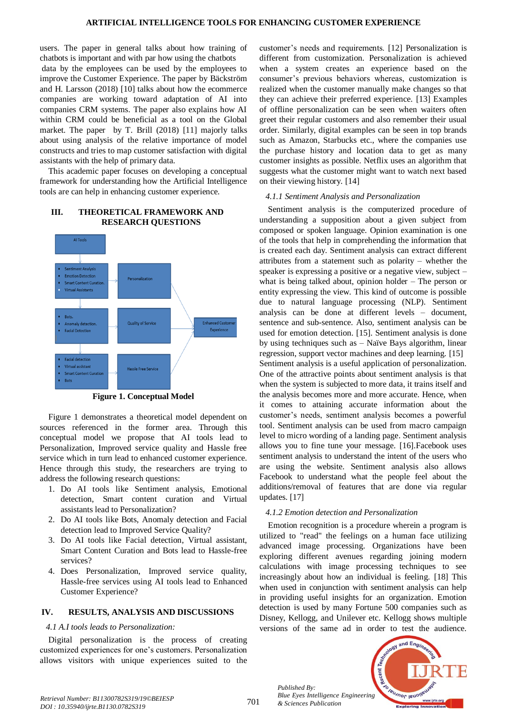users. The paper in general talks about how training of chatbots is important and with par how using the chatbots data by the employees can be used by the employees to improve the Customer Experience. The paper by Bäckström and H. Larsson (2018) [10] talks about how the ecommerce companies are working toward adaptation of AI into companies CRM systems. The paper also explains how AI within CRM could be beneficial as a tool on the Global market. The paper by T. Brill (2018) [11] majorly talks about using analysis of the relative importance of model constructs and tries to map customer satisfaction with digital assistants with the help of primary data.

This academic paper focuses on developing a conceptual framework for understanding how the Artificial Intelligence tools are can help in enhancing customer experience.

# **III. THEORETICAL FRAMEWORK AND RESEARCH QUESTIONS**



**Figure 1. Conceptual Model**

Figure 1 demonstrates a theoretical model dependent on sources referenced in the former area. Through this conceptual model we propose that AI tools lead to Personalization, Improved service quality and Hassle free service which in turn lead to enhanced customer experience. Hence through this study, the researchers are trying to address the following research questions:

- 1. Do AI tools like Sentiment analysis, Emotional detection, Smart content curation and Virtual assistants lead to Personalization?
- 2. Do AI tools like Bots, Anomaly detection and Facial detection lead to Improved Service Quality?
- 3. Do AI tools like Facial detection, Virtual assistant, Smart Content Curation and Bots lead to Hassle-free services?
- 4. Does Personalization, Improved service quality, Hassle-free services using AI tools lead to Enhanced Customer Experience?

# **IV. RESULTS, ANALYSIS AND DISCUSSIONS**

#### *4.1 A.I tools leads to Personalization:*

Digital personalization is the process of creating customized experiences for one's customers. Personalization allows visitors with unique experiences suited to the

customer's needs and requirements. [12] Personalization is different from customization. Personalization is achieved when a system creates an experience based on the consumer's previous behaviors whereas, customization is realized when the customer manually make changes so that they can achieve their preferred experience. [13] Examples of offline personalization can be seen when waiters often greet their regular customers and also remember their usual order. Similarly, digital examples can be seen in top brands such as Amazon, Starbucks etc., where the companies use the purchase history and location data to get as many customer insights as possible. Netflix uses an algorithm that suggests what the customer might want to watch next based on their viewing history. [14]

## *4.1.1 Sentiment Analysis and Personalization*

Sentiment analysis is the computerized procedure of understanding a supposition about a given subject from composed or spoken language. Opinion examination is one of the tools that help in comprehending the information that is created each day. Sentiment analysis can extract different attributes from a statement such as polarity – whether the speaker is expressing a positive or a negative view, subject – what is being talked about, opinion holder – The person or entity expressing the view. This kind of outcome is possible due to natural language processing (NLP). Sentiment analysis can be done at different levels – document, sentence and sub-sentence. Also, sentiment analysis can be used for emotion detection. [15]. Sentiment analysis is done by using techniques such as – Naïve Bays algorithm, linear regression, support vector machines and deep learning. [15] Sentiment analysis is a useful application of personalization. One of the attractive points about sentiment analysis is that when the system is subjected to more data, it trains itself and the analysis becomes more and more accurate. Hence, when it comes to attaining accurate information about the customer's needs, sentiment analysis becomes a powerful tool. Sentiment analysis can be used from macro campaign level to micro wording of a landing page. Sentiment analysis allows you to fine tune your message. [16].Facebook uses sentiment analysis to understand the intent of the users who are using the website. Sentiment analysis also allows Facebook to understand what the people feel about the additions/removal of features that are done via regular updates. [17]

# *4.1.2 Emotion detection and Personalization*

Emotion recognition is a procedure wherein a program is utilized to "read" the feelings on a human face utilizing advanced image processing. Organizations have been exploring different avenues regarding joining modern calculations with image processing techniques to see increasingly about how an individual is feeling. [18] This when used in conjunction with sentiment analysis can help in providing useful insights for an organization. Emotion detection is used by many Fortune 500 companies such as Disney, Kellogg, and Unilever etc. Kellogg shows multiple versions of the same ad in order to test the audience.

*Published By: Blue Eyes Intelligence Engineering* 

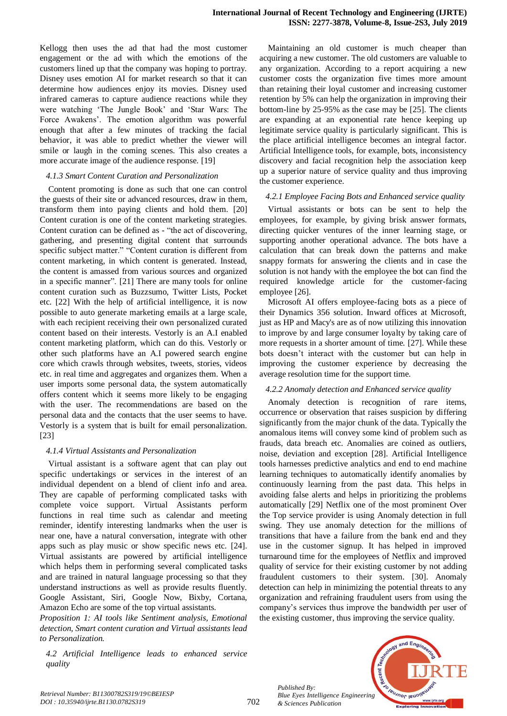Kellogg then uses the ad that had the most customer engagement or the ad with which the emotions of the customers lined up that the company was hoping to portray. Disney uses emotion AI for market research so that it can determine how audiences enjoy its movies. Disney used infrared cameras to capture audience reactions while they were watching 'The Jungle Book' and 'Star Wars: The Force Awakens'. The emotion algorithm was powerful enough that after a few minutes of tracking the facial behavior, it was able to predict whether the viewer will smile or laugh in the coming scenes. This also creates a more accurate image of the audience response. [19]

#### *4.1.3 Smart Content Curation and Personalization*

Content promoting is done as such that one can control the guests of their site or advanced resources, draw in them, transform them into paying clients and hold them. [20] Content curation is one of the content marketing strategies. Content curation can be defined as - "the act of discovering, gathering, and presenting digital content that surrounds specific subject matter." "Content curation is different from content marketing, in which content is generated. Instead, the content is amassed from various sources and organized in a specific manner". [21] There are many tools for online content curation such as Buzzsumo, Twitter Lists, Pocket etc. [22] With the help of artificial intelligence, it is now possible to auto generate marketing emails at a large scale, with each recipient receiving their own personalized curated content based on their interests. Vestorly is an A.I enabled content marketing platform, which can do this. Vestorly or other such platforms have an A.I powered search engine core which crawls through websites, tweets, stories, videos etc. in real time and aggregates and organizes them. When a user imports some personal data, the system automatically offers content which it seems more likely to be engaging with the user. The recommendations are based on the personal data and the contacts that the user seems to have. Vestorly is a system that is built for email personalization. [23]

#### *4.1.4 Virtual Assistants and Personalization*

Virtual assistant is a software agent that can play out specific undertakings or services in the interest of an individual dependent on a blend of client info and area. They are capable of performing complicated tasks with complete voice support. Virtual Assistants perform functions in real time such as calendar and meeting reminder, identify interesting landmarks when the user is near one, have a natural conversation, integrate with other apps such as play music or show specific news etc. [24]. Virtual assistants are powered by artificial intelligence which helps them in performing several complicated tasks and are trained in natural language processing so that they understand instructions as well as provide results fluently. Google Assistant, Siri, Google Now, Bixby, Cortana, Amazon Echo are some of the top virtual assistants.

*Proposition 1: AI tools like Sentiment analysis, Emotional detection, Smart content curation and Virtual assistants lead to Personalization.*

*4.2 Artificial Intelligence leads to enhanced service quality*

Maintaining an old customer is much cheaper than acquiring a new customer. The old customers are valuable to any organization. According to a report acquiring a new customer costs the organization five times more amount than retaining their loyal customer and increasing customer retention by 5% can help the organization in improving their bottom-line by 25-95% as the case may be [25]. The clients are expanding at an exponential rate hence keeping up legitimate service quality is particularly significant. This is the place artificial intelligence becomes an integral factor. Artificial Intelligence tools, for example, bots, inconsistency discovery and facial recognition help the association keep up a superior nature of service quality and thus improving the customer experience.

#### *4.2.1 Employee Facing Bots and Enhanced service quality*

Virtual assistants or bots can be sent to help the employees, for example, by giving brisk answer formats, directing quicker ventures of the inner learning stage, or supporting another operational advance. The bots have a calculation that can break down the patterns and make snappy formats for answering the clients and in case the solution is not handy with the employee the bot can find the required knowledge article for the customer-facing employee [26].

Microsoft AI offers employee-facing bots as a piece of their Dynamics 356 solution. Inward offices at Microsoft, just as HP and Macy's are as of now utilizing this innovation to improve by and large consumer loyalty by taking care of more requests in a shorter amount of time. [27]. While these bots doesn't interact with the customer but can help in improving the customer experience by decreasing the average resolution time for the support time.

#### *4.2.2 Anomaly detection and Enhanced service quality*

Anomaly detection is recognition of rare items, occurrence or observation that raises suspicion by differing significantly from the major chunk of the data. Typically the anomalous items will convey some kind of problem such as frauds, data breach etc. Anomalies are coined as outliers, noise, deviation and exception [28]. Artificial Intelligence tools harnesses predictive analytics and end to end machine learning techniques to automatically identify anomalies by continuously learning from the past data. This helps in avoiding false alerts and helps in prioritizing the problems automatically [29] Netflix one of the most prominent Over the Top service provider is using Anomaly detection in full swing. They use anomaly detection for the millions of transitions that have a failure from the bank end and they use in the customer signup. It has helped in improved turnaround time for the employees of Netflix and improved quality of service for their existing customer by not adding fraudulent customers to their system. [30]. Anomaly detection can help in minimizing the potential threats to any organization and refraining fraudulent users from using the company's services thus improve the bandwidth per user of the existing customer, thus improving the service quality.



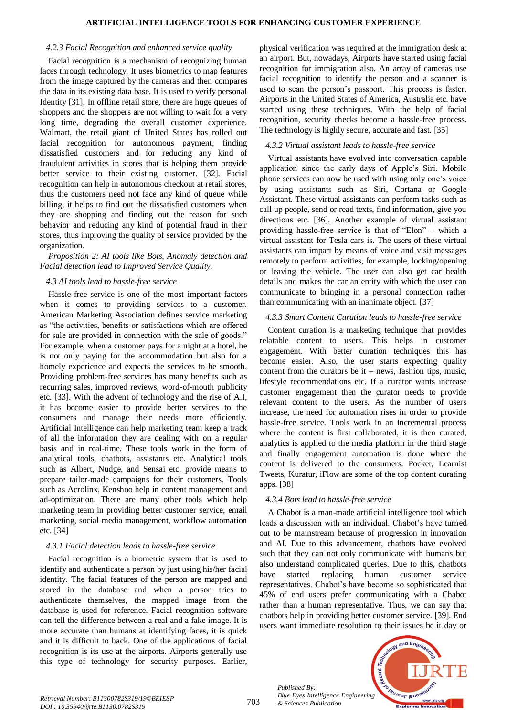#### *4.2.3 Facial Recognition and enhanced service quality*

Facial recognition is a mechanism of recognizing human faces through technology. It uses biometrics to map features from the image captured by the cameras and then compares the data in its existing data base. It is used to verify personal Identity [31]. In offline retail store, there are huge queues of shoppers and the shoppers are not willing to wait for a very long time, degrading the overall customer experience. Walmart, the retail giant of United States has rolled out facial recognition for autonomous payment, finding dissatisfied customers and for reducing any kind of fraudulent activities in stores that is helping them provide better service to their existing customer. [32]. Facial recognition can help in autonomous checkout at retail stores, thus the customers need not face any kind of queue while billing, it helps to find out the dissatisfied customers when they are shopping and finding out the reason for such behavior and reducing any kind of potential fraud in their stores, thus improving the quality of service provided by the organization.

# *Proposition 2: AI tools like Bots, Anomaly detection and Facial detection lead to Improved Service Quality.*

## *4.3 AI tools lead to hassle-free service*

Hassle-free service is one of the most important factors when it comes to providing services to a customer. American Marketing Association defines service marketing as "the activities, benefits or satisfactions which are offered for sale are provided in connection with the sale of goods." For example, when a customer pays for a night at a hotel, he is not only paying for the accommodation but also for a homely experience and expects the services to be smooth. Providing problem-free services has many benefits such as recurring sales, improved reviews, word-of-mouth publicity etc. [33]. With the advent of technology and the rise of A.I, it has become easier to provide better services to the consumers and manage their needs more efficiently. Artificial Intelligence can help marketing team keep a track of all the information they are dealing with on a regular basis and in real-time. These tools work in the form of analytical tools, chatbots, assistants etc. Analytical tools such as Albert, Nudge, and Sensai etc. provide means to prepare tailor-made campaigns for their customers. Tools such as Acrolinx, Kenshoo help in content management and ad-optimization. There are many other tools which help marketing team in providing better customer service, email marketing, social media management, workflow automation etc. [34]

# *4.3.1 Facial detection leads to hassle-free service*

Facial recognition is a biometric system that is used to identify and authenticate a person by just using his/her facial identity. The facial features of the person are mapped and stored in the database and when a person tries to authenticate themselves, the mapped image from the database is used for reference. Facial recognition software can tell the difference between a real and a fake image. It is more accurate than humans at identifying faces, it is quick and it is difficult to hack. One of the applications of facial recognition is its use at the airports. Airports generally use this type of technology for security purposes. Earlier,

physical verification was required at the immigration desk at an airport. But, nowadays, Airports have started using facial recognition for immigration also. An array of cameras use facial recognition to identify the person and a scanner is used to scan the person's passport. This process is faster. Airports in the United States of America, Australia etc. have started using these techniques. With the help of facial recognition, security checks become a hassle-free process. The technology is highly secure, accurate and fast. [35]

# *4.3.2 Virtual assistant leads to hassle-free service*

Virtual assistants have evolved into conversation capable application since the early days of Apple's Siri. Mobile phone services can now be used with using only one's voice by using assistants such as Siri, Cortana or Google Assistant. These virtual assistants can perform tasks such as call up people, send or read texts, find information, give you directions etc. [36]. Another example of virtual assistant providing hassle-free service is that of "Elon" – which a virtual assistant for Tesla cars is. The users of these virtual assistants can impart by means of voice and visit messages remotely to perform activities, for example, locking/opening or leaving the vehicle. The user can also get car health details and makes the car an entity with which the user can communicate to bringing in a personal connection rather than communicating with an inanimate object. [37]

## *4.3.3 Smart Content Curation leads to hassle-free service*

Content curation is a marketing technique that provides relatable content to users. This helps in customer engagement. With better curation techniques this has become easier. Also, the user starts expecting quality content from the curators be  $it$  – news, fashion tips, music, lifestyle recommendations etc. If a curator wants increase customer engagement then the curator needs to provide relevant content to the users. As the number of users increase, the need for automation rises in order to provide hassle-free service. Tools work in an incremental process where the content is first collaborated, it is then curated, analytics is applied to the media platform in the third stage and finally engagement automation is done where the content is delivered to the consumers. Pocket, Learnist Tweets, Kuratur, iFlow are some of the top content curating apps. [38]

#### *4.3.4 Bots lead to hassle-free service*

A Chabot is a man-made artificial intelligence tool which leads a discussion with an individual. Chabot's have turned out to be mainstream because of progression in innovation and AI. Due to this advancement, chatbots have evolved such that they can not only communicate with humans but also understand complicated queries. Due to this, chatbots have started replacing human customer service representatives. Chabot's have become so sophisticated that 45% of end users prefer communicating with a Chabot rather than a human representative. Thus, we can say that chatbots help in providing better customer service. [39]. End users want immediate resolution to their issues be it day or

*Published By: Blue Eyes Intelligence Engineering* 

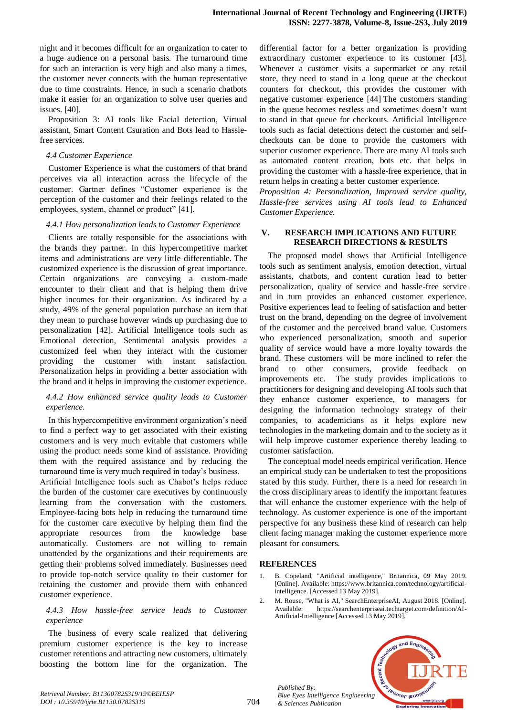night and it becomes difficult for an organization to cater to a huge audience on a personal basis. The turnaround time for such an interaction is very high and also many a times, the customer never connects with the human representative due to time constraints. Hence, in such a scenario chatbots make it easier for an organization to solve user queries and issues. [40].

Proposition 3: AI tools like Facial detection, Virtual assistant, Smart Content Csuration and Bots lead to Hasslefree services.

## *4.4 Customer Experience*

Customer Experience is what the customers of that brand perceives via all interaction across the lifecycle of the customer. Gartner defines "Customer experience is the perception of the customer and their feelings related to the employees, system, channel or product" [41].

## *4.4.1 How personalization leads to Customer Experience*

Clients are totally responsible for the associations with the brands they partner. In this hypercompetitive market items and administrations are very little differentiable. The customized experience is the discussion of great importance. Certain organizations are conveying a custom-made encounter to their client and that is helping them drive higher incomes for their organization. As indicated by a study, 49% of the general population purchase an item that they mean to purchase however winds up purchasing due to personalization [42]. Artificial Intelligence tools such as Emotional detection, Sentimental analysis provides a customized feel when they interact with the customer providing the customer with instant satisfaction. Personalization helps in providing a better association with the brand and it helps in improving the customer experience.

# *4.4.2 How enhanced service quality leads to Customer experience.*

In this hypercompetitive environment organization's need to find a perfect way to get associated with their existing customers and is very much evitable that customers while using the product needs some kind of assistance. Providing them with the required assistance and by reducing the turnaround time is very much required in today's business. Artificial Intelligence tools such as Chabot's helps reduce the burden of the customer care executives by continuously learning from the conversation with the customers. Employee-facing bots help in reducing the turnaround time for the customer care executive by helping them find the appropriate resources from the knowledge base automatically. Customers are not willing to remain unattended by the organizations and their requirements are getting their problems solved immediately. Businesses need to provide top-notch service quality to their customer for retaining the customer and provide them with enhanced customer experience.

## *4.4.3 How hassle-free service leads to Customer experience*

The business of every scale realized that delivering premium customer experience is the key to increase customer retentions and attracting new customers, ultimately boosting the bottom line for the organization. The

differential factor for a better organization is providing extraordinary customer experience to its customer [43]. Whenever a customer visits a supermarket or any retail store, they need to stand in a long queue at the checkout counters for checkout, this provides the customer with negative customer experience [44] The customers standing in the queue becomes restless and sometimes doesn't want to stand in that queue for checkouts. Artificial Intelligence tools such as facial detections detect the customer and selfcheckouts can be done to provide the customers with superior customer experience. There are many AI tools such as automated content creation, bots etc. that helps in providing the customer with a hassle-free experience, that in return helps in creating a better customer experience.

*Proposition 4: Personalization, Improved service quality, Hassle-free services using AI tools lead to Enhanced Customer Experience.*

# **V. RESEARCH IMPLICATIONS AND FUTURE RESEARCH DIRECTIONS & RESULTS**

The proposed model shows that Artificial Intelligence tools such as sentiment analysis, emotion detection, virtual assistants, chatbots, and content curation lead to better personalization, quality of service and hassle-free service and in turn provides an enhanced customer experience. Positive experiences lead to feeling of satisfaction and better trust on the brand, depending on the degree of involvement of the customer and the perceived brand value. Customers who experienced personalization, smooth and superior quality of service would have a more loyalty towards the brand. These customers will be more inclined to refer the brand to other consumers, provide feedback on improvements etc. The study provides implications to practitioners for designing and developing AI tools such that they enhance customer experience, to managers for designing the information technology strategy of their companies, to academicians as it helps explore new technologies in the marketing domain and to the society as it will help improve customer experience thereby leading to customer satisfaction.

The conceptual model needs empirical verification. Hence an empirical study can be undertaken to test the propositions stated by this study. Further, there is a need for research in the cross disciplinary areas to identify the important features that will enhance the customer experience with the help of technology. As customer experience is one of the important perspective for any business these kind of research can help client facing manager making the customer experience more pleasant for consumers.

# **REFERENCES**

*Published By:*

*& Sciences Publication* 

- 1. B. Copeland, "Artificial intelligence," Britannica, 09 May 2019. [Online]. Available: https://www.britannica.com/technology/artificialintelligence. [Accessed 13 May 2019].
- 2. M. Rouse, "What is AI," SearchEnterpriseAI, August 2018. [Online].<br>Available: https://searchenterpriseai.techtarget.com/definition/AIhttps://searchenterpriseai.techtarget.com/definition/AI-Artificial-Intelligence [Accessed 13 May 2019].

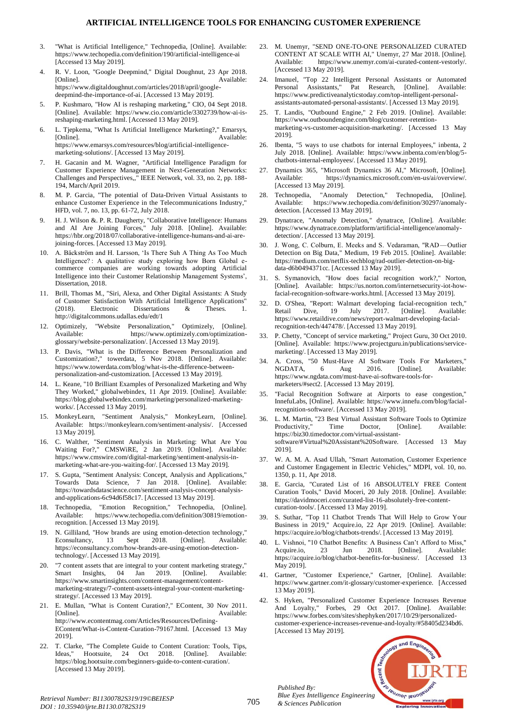#### **ARTIFICIAL INTELLIGENCE TOOLS FOR ENHANCING CUSTOMER EXPERIENCE**

- 3. "What is Artificial Intelligence," Technopedia, [Online]. Available: https://www.techopedia.com/definition/190/artificial-intelligence-ai [Accessed 13 May 2019].
- 4. R. V. Loon, "Google Deepmind," Digital Doughnut, 23 Apr 2018. [Online]. Available: https://www.digitaldoughnut.com/articles/2018/april/googledeepmind-the-importance-of-ai. [Accessed 13 May 2019].
- 5. P. Kushmaro, "How AI is reshaping marketing," CIO, 04 Sept 2018. [Online]. Available: https://www.cio.com/article/3302739/how-ai-isreshaping-marketing.html. [Accessed 13 May 2019].
- 6. L. Tjepkema, "What Is Artificial Intelligence Marketing?," Emarsys, [Online]. Available: https://www.emarsys.com/resources/blog/artificial-intelligencemarketing-solutions/. [Accessed 13 May 2019].
- 7. H. Gacanin and M. Wagner, "Artificial Intelligence Paradigm for Customer Experience Management in Next-Generation Networks: Challenges and Perspectives,," IEEE Network, vol. 33, no. 2, pp. 188- 194, March/April 2019.
- 8. M. P. Garcia, "The potential of Data-Driven Virtual Assistants to enhance Customer Experience in the Telecommunications Industry," HFD, vol. 7, no. 13, pp. 61-72, July 2018.
- 9. H. J. Wilson &. P. R. Daugherty, "Collaborative Intelligence: Humans and AI Are Joining Forces," July 2018. [Online]. Available: https://hbr.org/2018/07/collaborative-intelligence-humans-and-ai-arejoining-forces. [Accessed 13 May 2019].
- A. Bäckström and H. Larsson, 'Is There Suh A Thing As Too Much Intelligence? : A qualitative study exploring how Born Global ecommerce companies are working towards adopting Artificial Intelligence into their Customer Relationship Management Systems', Dissertation, 2018.
- 11. Brill, Thomas M., "Siri, Alexa, and Other Digital Assistants: A Study of Customer Satisfaction With Artificial Intelligence Applications" (2018). Electronic Dissertations & Theses. 1. http://digitalcommons.udallas.edu/edt/1
- 12. Optimizely, "Website Personalization," Optimizely, [Online]. Available: https://www.optimizely.com/optimizationglossary/website-personalization/. [Accessed 13 May 2019].
- 13. P. Davis, "What is the Difference Between Personalization and Customization?," towerdata, 5 Nov 2018. [Online]. Available: https://www.towerdata.com/blog/what-is-the-difference-betweenpersonalization-and-customization. [Accessed 13 May 2019].
- 14. L. Keane, "10 Brilliant Examples of Personalized Marketing and Why They Worked," globalwebindex, 11 Apr 2019. [Online]. Available: https://blog.globalwebindex.com/marketing/personalized-marketingworks/. [Accessed 13 May 2019].
- 15. MonkeyLearn, "Sentiment Analysis," MonkeyLearn, [Online]. Available: https://monkeylearn.com/sentiment-analysis/. [Accessed 13 May 2019].
- 16. C. Walther, "Sentiment Analysis in Marketing: What Are You Waiting For?," CMSWiRE, 2 Jan 2019. [Online]. Available: https://www.cmswire.com/digital-marketing/sentiment-analysis-inmarketing-what-are-you-waiting-for/. [Accessed 13 May 2019].
- 17. S. Gupta, "Sentiment Analysis: Concept, Analysis and Applications," Towards Data Science, 7 Jan 2018. [Online]. Available: https://towardsdatascience.com/sentiment-analysis-concept-analysisand-applications-6c94d6f58c17. [Accessed 13 May 2019].
- 18. Technopedia, "Emotion Recognition," Technopedia, [Online]. Available: https://www.techopedia.com/definition/30819/emotionrecognition. [Accessed 13 May 2019].
- 19. N. Gilliland, "How brands are using emotion-detection technology," Econsultancy, 13 Sept 2018. [Online]. Available: https://econsultancy.com/how-brands-are-using-emotion-detectiontechnology/. [Accessed 13 May 2019].
- 20. "7 content assets that are integral to your content marketing strategy,"<br>
Smart Insights, 04 Jan 2019. [Online]. Available: Smart Insights,  $04$  Jan https://www.smartinsights.com/content-management/contentmarketing-strategy/7-content-assets-integral-your-content-marketingstrategy/. [Accessed 13 May 2019].
- 21. E. Mullan, "What is Content Curation?," EContent, 30 Nov 2011. [Online]. Available: http://www.econtentmag.com/Articles/Resources/Defining-EContent/What-is-Content-Curation-79167.html. [Accessed 13 May 2019].
- 22. T. Clarke, "The Complete Guide to Content Curation: Tools, Tips,<br>Ideas." Hootsuite. 24 Oct 2018. [Online]. Available: Hootsuite, 24 Oct 2018. [Online]. https://blog.hootsuite.com/beginners-guide-to-content-curation/. [Accessed 13 May 2019].
- 23. M. Unemyr, "SEND ONE-TO-ONE PERSONALIZED CURATED CONTENT AT SCALE WITH AI," Unemyr, 27 Mar 2018. [Online].<br>Available: https://www.unemyr.com/ai-curated-content-vestorly/. https://www.unemyr.com/ai-curated-content-vestorly/. [Accessed 13 May 2019].
- 24. Imanuel, "Top 22 Intelligent Personal Assistants or Automated Personal Assisstants," Pat Research, [Online]. Available: https://www.predictiveanalyticstoday.com/top-intelligent-personalassistants-automated-personal-assistants/. [Accessed 13 May 2019].
- 25. T. Landis, "Outbound Engine," 2 Feb 2019. [Online]. Available: https://www.outboundengine.com/blog/customer-retentionmarketing-vs-customer-acquisition-marketing/. [Accessed 13 May 2019].
- 26. Ibenta, "5 ways to use chatbots for internal Employees," inbenta, 2 July 2018. [Online]. Available: https://www.inbenta.com/en/blog/5 chatbots-internal-employees/. [Accessed 13 May 2019].
- 27. Dynamics 365, "Microsoft Dynamics 36 AI," Microsoft, [Online]. Available: https://dynamics.microsoft.com/en-us/ai/overview/. [Accessed 13 May 2019].
- 28. Technopedia, "Anomaly Detection," Technopedia, [Online].<br>Available: https://www.techopedia.com/definition/30297/anomalyhttps://www.techopedia.com/definition/30297/anomalydetection. [Accessed 13 May 2019].
- 29. Dynatrace, "Anomaly Detection," dynatrace, [Online]. Available: https://www.dynatrace.com/platform/artificial-intelligence/anomalydetection/. [Accessed 13 May 2019].
- J. Wong, C. Colburn, E. Meeks and S. Vedaraman, "RAD-Outlier Detection on Big Data," Medium, 19 Feb 2015. [Online]. Available: https://medium.com/netflix-techblog/rad-outlier-detection-on-bigdata-d6b0494371cc. [Accessed 13 May 2019].
- 31. S. Symanovich, "How does facial recognition work?," Norton, [Online]. Available: https://us.norton.com/internetsecurity-iot-howfacial-recognition-software-works.html. [Accessed 13 May 2019].
- 32. D. O'Shea, "Report: Walmart developing facial-recognition tech," Dive, 19 July 2017. [Online]. Available: https://www.retaildive.com/news/report-walmart-developing-facialrecognition-tech/447478/. [Accessed 13 May 2019].
- 33. P. Chetty, "Concept of service marketing," Project Guru, 30 Oct 2010. [Online]. Available: https://www.projectguru.in/publications/servicemarketing/. [Accessed 13 May 2019].
- 34. A. Cross, "50 Must-Have AI Software Tools For Marketers," NGDATA, 6 Aug 2016. [Online]. Available: https://www.ngdata.com/must-have-ai-software-tools-formarketers/#sect2. [Accessed 13 May 2019].
- "Facial Recognition Software at Airports to ease congestion," InnefuLabs, [Online]. Available: https://www.innefu.com/blog/facialrecognition-software/. [Accessed 13 May 2019].
- 36. L. M. Martin, "23 Best Virtual Assistant Software Tools to Optimize Productivity," Time Doctor, [Online]. Available: https://biz30.timedoctor.com/virtual-assistantsoftware/#Virtual%20Assistant%20Software. [Accessed 13 May 2019].
- 37. W. A. M. A. Asad Ullah, "Smart Automation, Customer Experience and Customer Engagement in Electric Vehicles," MDPI, vol. 10, no. 1350, p. 11, Apr 2018.
- 38. E. Garcia, "Curated List of 16 ABSOLUTELY FREE Content Curation Tools," David Moceri, 20 July 2018. [Online]. Available: https://davidmoceri.com/curated-list-16-absolutely-free-contentcuration-tools/. [Accessed 13 May 2019].
- 39. S. Suthar, "Top 11 Chatbot Trends That Will Help to Grow Your Business in 2019," Acquire.io, 22 Apr 2019. [Online]. Available: https://acquire.io/blog/chatbots-trends/. [Accessed 13 May 2019].
- 40. L. Vishnoi, "10 Chatbot Benefits: A Business Can't Afford to Miss," Acquire.io, 23 Jun 2018. [Online]. Available: https://acquire.io/blog/chatbot-benefits-for-business/. [Accessed 13 May 2019].
- 41. Gartner, "Customer Experience," Gartner, [Online]. Available: https://www.gartner.com/it-glossary/customer-experience. [Accessed 13 May 2019].
- 42. S. Hyken, "Personalized Customer Experience Increases Revenue And Loyalty," Forbes, 29 Oct 2017. [Online]. Available: https://www.forbes.com/sites/shephyken/2017/10/29/personalizedcustomer-experience-increases-revenue-and-loyalty/#58405d234bd6. [Accessed 13 May 2019].



*Published By:*